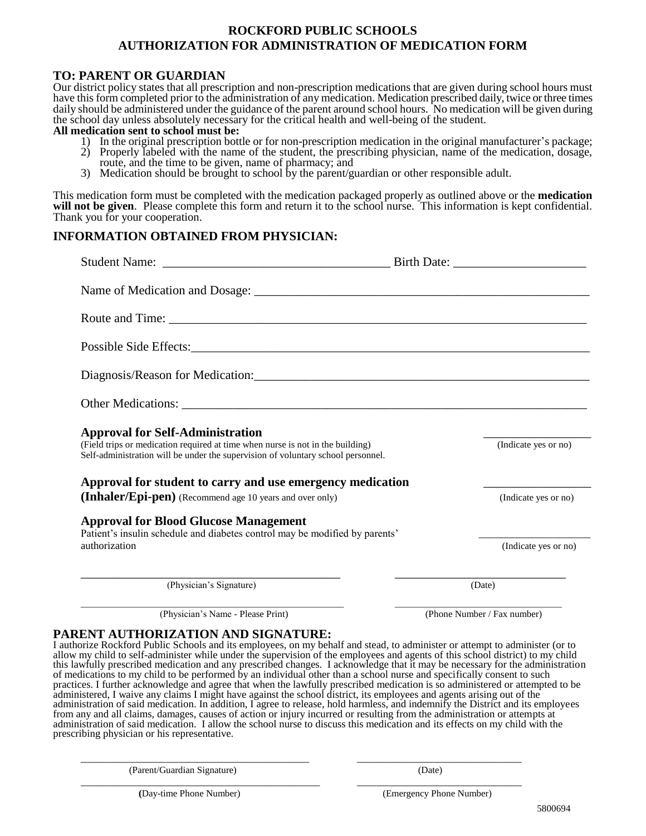# **ROCKFORD PUBLIC SCHOOLS AUTHORIZATION FOR ADMINISTRATION OF MEDICATION FORM**

## **TO: PARENT OR GUARDIAN**

Our district policy states that all prescription and non-prescription medications that are given during school hours must have this form completed prior to the administration of any medication. Medication prescribed daily, twice or three times daily should be administered under the guidance of the parent around school hours. No medication will be given during the school day unless absolutely necessary for the critical health and well-being of the student.

#### **All medication sent to school must be:**

- 1) In the original prescription bottle or for non-prescription medication in the original manufacturer's package;
- 2) Properly labeled with the name of the student, the prescribing physician, name of the medication, dosage,
- route, and the time to be given, name of pharmacy; and
- 3) Medication should be brought to school by the parent/guardian or other responsible adult.

This medication form must be completed with the medication packaged properly as outlined above or the **medication**  will not be given. Please complete this form and return it to the school nurse. This information is kept confidential. Thank you for your cooperation.

## **INFORMATION OBTAINED FROM PHYSICIAN:**

| <b>Approval for Self-Administration</b><br>(Field trips or medication required at time when nurse is not in the building)<br>Self-administration will be under the supervision of voluntary school personnel. | (Indicate yes or no) |
|---------------------------------------------------------------------------------------------------------------------------------------------------------------------------------------------------------------|----------------------|
| Approval for student to carry and use emergency medication                                                                                                                                                    |                      |
| (Inhaler/Epi-pen) (Recommend age 10 years and over only)                                                                                                                                                      | (Indicate yes or no) |
| <b>Approval for Blood Glucose Management</b><br>Patient's insulin schedule and diabetes control may be modified by parents'                                                                                   |                      |
| authorization                                                                                                                                                                                                 | (Indicate yes or no) |
| (Physician's Signature)                                                                                                                                                                                       | (Date)               |

\_\_\_\_\_\_\_\_\_\_\_\_\_\_\_\_\_\_\_\_\_\_\_\_\_\_\_\_\_\_\_\_\_\_\_\_\_\_\_\_\_\_\_\_\_\_\_\_\_\_\_\_\_\_\_\_\_\_\_\_\_\_\_ \_\_\_\_\_\_\_\_\_\_\_\_\_\_\_\_\_\_\_\_\_\_\_\_\_\_\_\_\_\_\_\_\_\_\_\_\_\_\_\_ (Physician's Name - Please Print) (Phone Number / Fax number)

## **PARENT AUTHORIZATION AND SIGNATURE:**

I authorize Rockford Public Schools and its employees, on my behalf and stead, to administer or attempt to administer (or to allow my child to self-administer while under the supervision of the employees and agents of this school district) to my child this lawfully prescribed medication and any prescribed changes. I acknowledge that it may be necessary for the administration of medications to my child to be performed by an individual other than a school nurse and specifically consent to such practices. I further acknowledge and agree that when the lawfully prescribed medication is so administered or attempted to be administered, I waive any claims I might have against the school district, its employees and agents arising out of the administration of said medication. In addition, I agree to release, hold harmless, and indemnify the District and its employees from any and all claims, damages, causes of action or injury incurred or resulting from the administration or attempts at administration of said medication. I allow the school nurse to discuss this medication and its effects on my child with the prescribing physician or his representative.

\_\_\_\_\_\_\_\_\_\_\_\_\_\_\_\_\_\_\_\_\_\_\_\_\_\_\_\_\_\_\_\_\_\_\_\_\_\_\_\_\_\_\_ \_\_\_\_\_\_\_\_\_\_\_\_\_\_\_\_\_\_\_\_\_\_\_\_\_\_\_\_\_\_\_

\_\_\_\_\_\_\_\_\_\_\_\_\_\_\_\_\_\_\_\_\_\_\_\_\_\_\_\_\_\_\_\_\_\_\_\_\_\_\_\_\_\_\_\_\_ \_\_\_\_\_\_\_\_\_\_\_\_\_\_\_\_\_\_\_\_\_\_\_\_\_\_\_\_\_\_\_

(Parent/Guardian Signature) (Date)

 **(**Day-time Phone Number) (Emergency Phone Number)